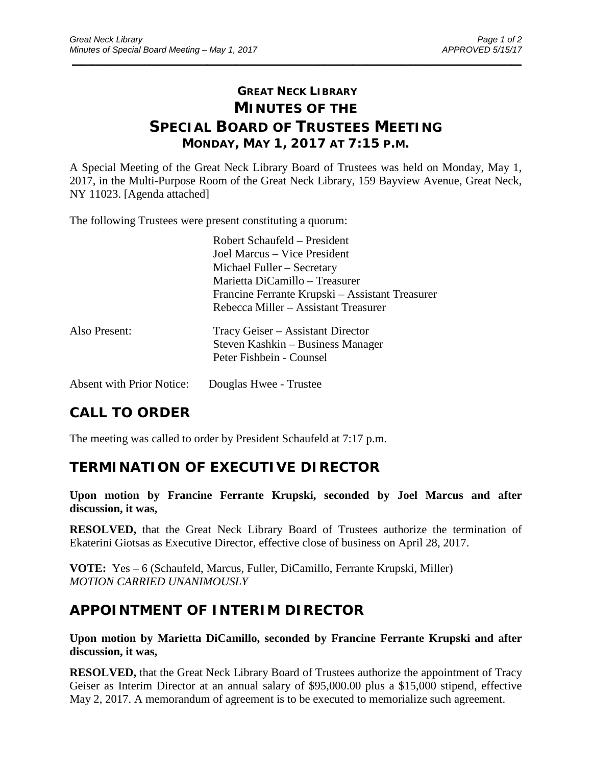# **GREAT NECK LIBRARY MINUTES OF THE SPECIAL BOARD OF TRUSTEES MEETING MONDAY, MAY 1, 2017 AT 7:15 P.M.**

\_\_\_\_\_\_\_\_\_\_\_\_\_\_\_\_\_\_\_\_\_\_\_\_\_\_\_\_\_\_\_\_\_\_\_\_\_\_\_\_\_\_\_\_\_\_\_\_\_\_\_\_\_\_\_\_\_\_\_\_\_\_\_\_\_\_\_\_\_\_\_\_\_\_\_\_\_\_\_\_\_\_\_\_\_\_\_\_\_\_\_\_\_

A Special Meeting of the Great Neck Library Board of Trustees was held on Monday, May 1, 2017, in the Multi-Purpose Room of the Great Neck Library, 159 Bayview Avenue, Great Neck, NY 11023. [Agenda attached]

The following Trustees were present constituting a quorum:

|               | Robert Schaufeld – President                    |
|---------------|-------------------------------------------------|
|               | Joel Marcus – Vice President                    |
|               | Michael Fuller – Secretary                      |
|               | Marietta DiCamillo – Treasurer                  |
|               | Francine Ferrante Krupski – Assistant Treasurer |
|               | Rebecca Miller – Assistant Treasurer            |
| Also Present: | Tracy Geiser – Assistant Director               |
|               | Steven Kashkin – Business Manager               |
|               | Peter Fishbein - Counsel                        |
|               |                                                 |
|               |                                                 |

Absent with Prior Notice: Douglas Hwee - Trustee

# **CALL TO ORDER**

The meeting was called to order by President Schaufeld at 7:17 p.m.

#### **TERMINATION OF EXECUTIVE DIRECTOR**

**Upon motion by Francine Ferrante Krupski, seconded by Joel Marcus and after discussion, it was,**

**RESOLVED,** that the Great Neck Library Board of Trustees authorize the termination of Ekaterini Giotsas as Executive Director, effective close of business on April 28, 2017.

**VOTE:** Yes – 6 (Schaufeld, Marcus, Fuller, DiCamillo, Ferrante Krupski, Miller) *MOTION CARRIED UNANIMOUSLY*

# **APPOINTMENT OF INTERIM DIRECTOR**

**Upon motion by Marietta DiCamillo, seconded by Francine Ferrante Krupski and after discussion, it was,**

**RESOLVED,** that the Great Neck Library Board of Trustees authorize the appointment of Tracy Geiser as Interim Director at an annual salary of \$95,000.00 plus a \$15,000 stipend, effective May 2, 2017. A memorandum of agreement is to be executed to memorialize such agreement.